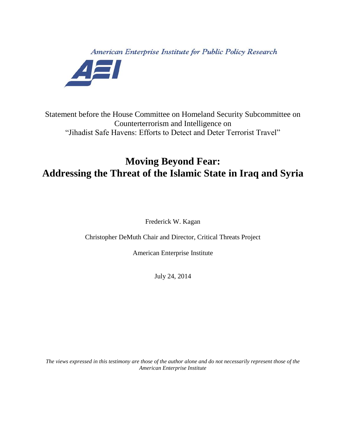American Enterprise Institute for Public Policy Research



Statement before the House Committee on Homeland Security Subcommittee on Counterterrorism and Intelligence on "Jihadist Safe Havens: Efforts to Detect and Deter Terrorist Travel"

## **Moving Beyond Fear: Addressing the Threat of the Islamic State in Iraq and Syria**

Frederick W. Kagan

Christopher DeMuth Chair and Director, Critical Threats Project

American Enterprise Institute

July 24, 2014

*The views expressed in this testimony are those of the author alone and do not necessarily represent those of the American Enterprise Institute*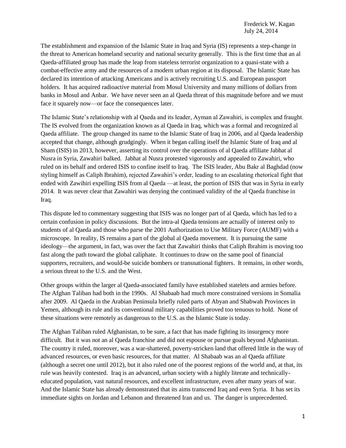The establishment and expansion of the Islamic State in Iraq and Syria (IS) represents a step-change in the threat to American homeland security and national security generally. This is the first time that an al Qaeda-affiliated group has made the leap from stateless terrorist organization to a quasi-state with a combat-effective army and the resources of a modern urban region at its disposal. The Islamic State has declared its intention of attacking Americans and is actively recruiting U.S. and European passport holders. It has acquired radioactive material from Mosul University and many millions of dollars from banks in Mosul and Anbar. We have never seen an al Qaeda threat of this magnitude before and we must face it squarely now—or face the consequences later.

The Islamic State's relationship with al Qaeda and its leader, Ayman al Zawahiri, is complex and fraught. The IS evolved from the organization known as al Qaeda in Iraq, which was a formal and recognized al Qaeda affiliate. The group changed its name to the Islamic State of Iraq in 2006, and al Qaeda leadership accepted that change, although grudgingly. When it began calling itself the Islamic State of Iraq and al Sham (ISIS) in 2013, however, asserting its control over the operations of al Qaeda affiliate Jabhat al Nusra in Syria, Zawahiri balked. Jabhat al Nusra protested vigorously and appealed to Zawahiri, who ruled on its behalf and ordered ISIS to confine itself to Iraq. The ISIS leader, Abu Bakr al Baghdad (now styling himself as Caliph Ibrahim), rejected Zawahiri's order, leading to an escalating rhetorical fight that ended with Zawihiri expelling ISIS from al Qaeda —at least, the portion of ISIS that was in Syria in early 2014. It was never clear that Zawahiri was denying the continued validity of the al Qaeda franchise in Iraq.

This dispute led to commentary suggesting that ISIS was no longer part of al Qaeda, which has led to a certain confusion in policy discussions. But the intra-al Qaeda tensions are actually of interest only to students of al Qaeda and those who parse the 2001 Authorization to Use Military Force (AUMF) with a microscope. In reality, IS remains a part of the global al Qaeda movement. It is pursuing the same ideology—the argument, in fact, was over the fact that Zawahiri thinks that Caliph Ibrahim is moving too fast along the path toward the global caliphate. It continues to draw on the same pool of financial supporters, recruiters, and would-be suicide bombers or transnational fighters. It remains, in other words, a serious threat to the U.S. and the West.

Other groups within the larger al Qaeda-associated family have established statelets and armies before. The Afghan Taliban had both in the 1990s. Al Shabaab had much more constrained versions in Somalia after 2009. Al Qaeda in the Arabian Peninsula briefly ruled parts of Abyan and Shabwah Provinces in Yemen, although its rule and its conventional military capabilities proved too tenuous to hold. None of these situations were remotely as dangerous to the U.S. as the Islamic State is today.

The Afghan Taliban ruled Afghanistan, to be sure, a fact that has made fighting its insurgency more difficult. But it was not an al Qaeda franchise and did not espouse or pursue goals beyond Afghanistan. The country it ruled, moreover, was a war-shattered, poverty-stricken land that offered little in the way of advanced resources, or even basic resources, for that matter. Al Shabaab was an al Qaeda affiliate (although a secret one until 2012), but it also ruled one of the poorest regions of the world and, at that, its rule was heavily contested. Iraq is an advanced, urban society with a highly literate and technicallyeducated population, vast natural resources, and excellent infrastructure, even after many years of war. And the Islamic State has already demonstrated that its aims transcend Iraq and even Syria. It has set its immediate sights on Jordan and Lebanon and threatened Iran and us. The danger is unprecedented.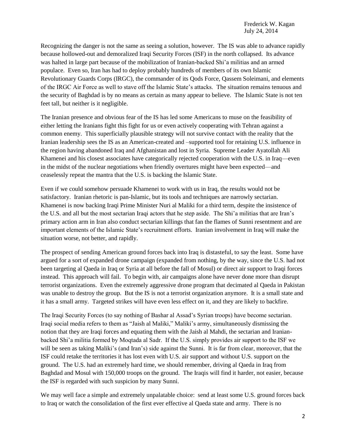Frederick W. Kagan July 24, 2014

Recognizing the danger is not the same as seeing a solution, however. The IS was able to advance rapidly because hollowed-out and demoralized Iraqi Security Forces (ISF) in the north collapsed. Its advance was halted in large part because of the mobilization of Iranian-backed Shi'a militias and an armed populace. Even so, Iran has had to deploy probably hundreds of members of its own Islamic Revolutionary Guards Corps (IRGC), the commander of its Qods Force, Qassem Soleimani, and elements of the IRGC Air Force as well to stave off the Islamic State's attacks. The situation remains tenuous and the security of Baghdad is by no means as certain as many appear to believe. The Islamic State is not ten feet tall, but neither is it negligible.

The Iranian presence and obvious fear of the IS has led some Americans to muse on the feasibility of either letting the Iranians fight this fight for us or even actively cooperating with Tehran against a common enemy. This superficially plausible strategy will not survive contact with the reality that the Iranian leadership sees the IS as an American-created and –supported tool for retaining U.S. influence in the region having abandoned Iraq and Afghanistan and lost in Syria. Supreme Leader Ayatollah Ali Khamenei and his closest associates have categorically rejected cooperation with the U.S. in Iraq—even in the midst of the nuclear negotiations when friendly overtures might have been expected—and ceaselessly repeat the mantra that the U.S. is backing the Islamic State.

Even if we could somehow persuade Khamenei to work with us in Iraq, the results would not be satisfactory. Iranian rhetoric is pan-Islamic, but its tools and techniques are narrowly sectarian. Khamenei is now backing Iraqi Prime Minister Nuri al Maliki for a third term, despite the insistence of the U.S. and all but the most sectarian Iraqi actors that he step aside. The Shi'a militias that are Iran's primary action arm in Iran also conduct sectarian killings that fan the flames of Sunni resentment and are important elements of the Islamic State's recruitment efforts. Iranian involvement in Iraq will make the situation worse, not better, and rapidly.

The prospect of sending American ground forces back into Iraq is distasteful, to say the least. Some have argued for a sort of expanded drone campaign (expanded from nothing, by the way, since the U.S. had not been targeting al Qaeda in Iraq or Syria at all before the fall of Mosul) or direct air support to Iraqi forces instead. This approach will fail. To begin with, air campaigns alone have never done more than disrupt terrorist organizations. Even the extremely aggressive drone program that decimated al Qaeda in Pakistan was unable to destroy the group. But the IS is not a terrorist organization anymore. It is a small state and it has a small army. Targeted strikes will have even less effect on it, and they are likely to backfire.

The Iraqi Security Forces (to say nothing of Bashar al Assad's Syrian troops) have become sectarian. Iraqi social media refers to them as "Jaish al Maliki," Maliki's army, simultaneously dismissing the notion that they are Iraqi forces and equating them with the Jaish al Mahdi, the sectarian and Iranianbacked Shi'a militia formed by Moqtada al Sadr. If the U.S. simply provides air support to the ISF we will be seen as taking Maliki's (and Iran's) side against the Sunni. It is far from clear, moreover, that the ISF could retake the territories it has lost even with U.S. air support and without U.S. support on the ground. The U.S. had an extremely hard time, we should remember, driving al Qaeda in Iraq from Baghdad and Mosul with 150,000 troops on the ground. The Iraqis will find it harder, not easier, because the ISF is regarded with such suspicion by many Sunni.

We may well face a simple and extremely unpalatable choice: send at least some U.S. ground forces back to Iraq or watch the consolidation of the first ever effective al Qaeda state and army. There is no